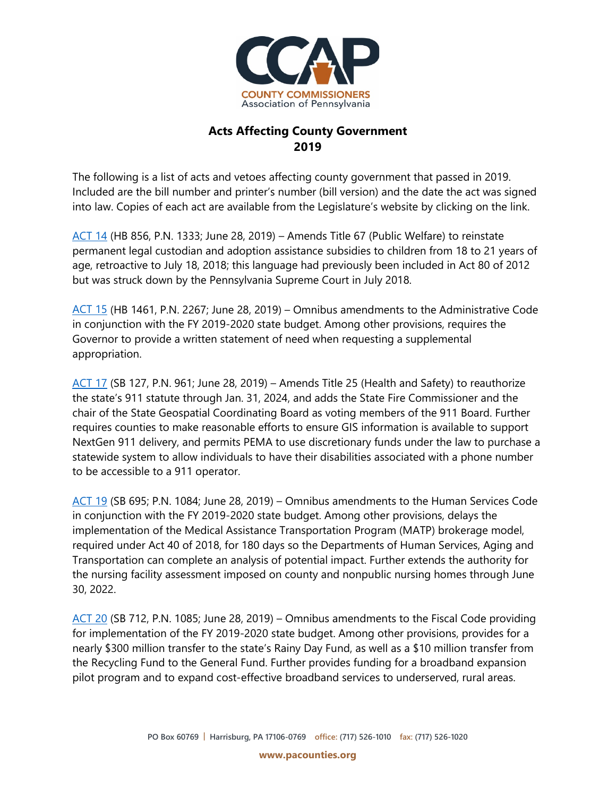

## **Acts Affecting County Government 2019**

The following is a list of acts and vetoes affecting county government that passed in 2019. Included are the bill number and printer's number (bill version) and the date the act was signed into law. Copies of each act are available from the Legislature's website by clicking on the link.

[ACT 14](https://www.legis.state.pa.us/cfdocs/billInfo/billInfo.cfm?sYear=2019&sInd=0&body=H&type=B&bn=0856) (HB 856, P.N. 1333; June 28, 2019) – Amends Title 67 (Public Welfare) to reinstate permanent legal custodian and adoption assistance subsidies to children from 18 to 21 years of age, retroactive to July 18, 2018; this language had previously been included in Act 80 of 2012 but was struck down by the Pennsylvania Supreme Court in July 2018.

[ACT 15](https://www.legis.state.pa.us/cfdocs/billInfo/billInfo.cfm?sYear=2019&sInd=0&body=H&type=B&bn=1461) (HB 1461, P.N. 2267; June 28, 2019) – Omnibus amendments to the Administrative Code in conjunction with the FY 2019-2020 state budget. Among other provisions, requires the Governor to provide a written statement of need when requesting a supplemental appropriation.

[ACT 17](https://www.legis.state.pa.us/cfdocs/billInfo/billInfo.cfm?sYear=2019&sInd=0&body=S&type=B&bn=0127) (SB 127, P.N. 961; June 28, 2019) – Amends Title 25 (Health and Safety) to reauthorize the state's 911 statute through Jan. 31, 2024, and adds the State Fire Commissioner and the chair of the State Geospatial Coordinating Board as voting members of the 911 Board. Further requires counties to make reasonable efforts to ensure GIS information is available to support NextGen 911 delivery, and permits PEMA to use discretionary funds under the law to purchase a statewide system to allow individuals to have their disabilities associated with a phone number to be accessible to a 911 operator.

[ACT 19](https://www.legis.state.pa.us/cfdocs/billInfo/billInfo.cfm?sYear=2019&sInd=0&body=S&type=B&bn=0695) (SB 695; P.N. 1084; June 28, 2019) – Omnibus amendments to the Human Services Code in conjunction with the FY 2019-2020 state budget. Among other provisions, delays the implementation of the Medical Assistance Transportation Program (MATP) brokerage model, required under Act 40 of 2018, for 180 days so the Departments of Human Services, Aging and Transportation can complete an analysis of potential impact. Further extends the authority for the nursing facility assessment imposed on county and nonpublic nursing homes through June 30, 2022.

[ACT 20](https://www.legis.state.pa.us/cfdocs/billInfo/billInfo.cfm?sYear=2019&sInd=0&body=S&type=B&bn=0712) (SB 712, P.N. 1085; June 28, 2019) – Omnibus amendments to the Fiscal Code providing for implementation of the FY 2019-2020 state budget. Among other provisions, provides for a nearly \$300 million transfer to the state's Rainy Day Fund, as well as a \$10 million transfer from the Recycling Fund to the General Fund. Further provides funding for a broadband expansion pilot program and to expand cost-effective broadband services to underserved, rural areas.

**www.pacounties.org**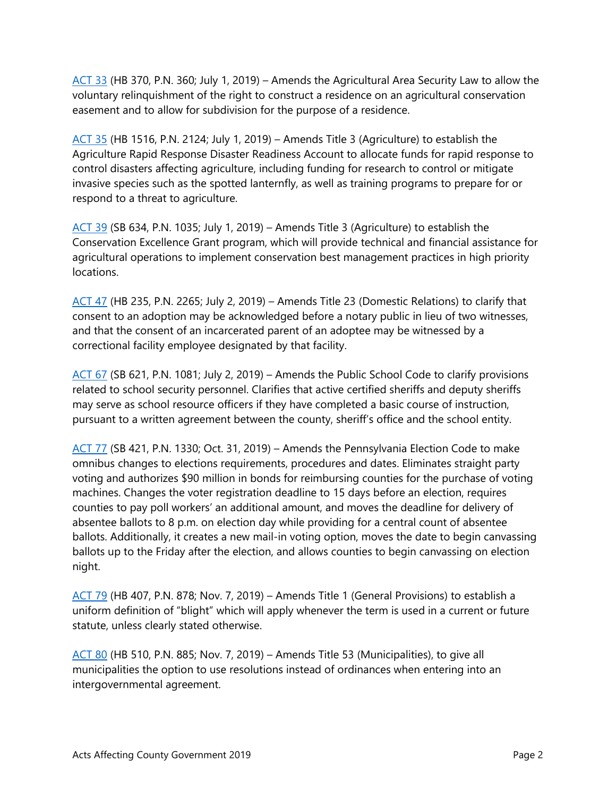[ACT 33](https://www.legis.state.pa.us/cfdocs/billInfo/billInfo.cfm?sYear=2019&sInd=0&body=H&type=B&bn=0370) (HB 370, P.N. 360; July 1, 2019) – Amends the Agricultural Area Security Law to allow the voluntary relinquishment of the right to construct a residence on an agricultural conservation easement and to allow for subdivision for the purpose of a residence.

[ACT 35](https://www.legis.state.pa.us/cfdocs/billInfo/billInfo.cfm?sYear=2019&sInd=0&body=H&type=B&bn=1516) (HB 1516, P.N. 2124; July 1, 2019) – Amends Title 3 (Agriculture) to establish the Agriculture Rapid Response Disaster Readiness Account to allocate funds for rapid response to control disasters affecting agriculture, including funding for research to control or mitigate invasive species such as the spotted lanternfly, as well as training programs to prepare for or respond to a threat to agriculture.

[ACT 39](https://www.legis.state.pa.us/cfdocs/billInfo/billInfo.cfm?sYear=2019&sInd=0&body=S&type=B&bn=0634) (SB 634, P.N. 1035; July 1, 2019) – Amends Title 3 (Agriculture) to establish the Conservation Excellence Grant program, which will provide technical and financial assistance for agricultural operations to implement conservation best management practices in high priority locations.

[ACT 47](https://www.legis.state.pa.us/cfdocs/billInfo/billInfo.cfm?sYear=2019&sInd=0&body=H&type=B&bn=0235) (HB 235, P.N. 2265; July 2, 2019) – Amends Title 23 (Domestic Relations) to clarify that consent to an adoption may be acknowledged before a notary public in lieu of two witnesses, and that the consent of an incarcerated parent of an adoptee may be witnessed by a correctional facility employee designated by that facility.

[ACT 67](https://www.legis.state.pa.us/cfdocs/billInfo/billInfo.cfm?sYear=2019&sInd=0&body=S&type=B&bn=0621) (SB 621, P.N. 1081; July 2, 2019) – Amends the Public School Code to clarify provisions related to school security personnel. Clarifies that active certified sheriffs and deputy sheriffs may serve as school resource officers if they have completed a basic course of instruction, pursuant to a written agreement between the county, sheriff's office and the school entity.

[ACT 77](https://www.legis.state.pa.us/cfdocs/billInfo/billInfo.cfm?sYear=2019&sInd=0&body=S&type=B&bn=0421) (SB 421, P.N. 1330; Oct. 31, 2019) – Amends the Pennsylvania Election Code to make omnibus changes to elections requirements, procedures and dates. Eliminates straight party voting and authorizes \$90 million in bonds for reimbursing counties for the purchase of voting machines. Changes the voter registration deadline to 15 days before an election, requires counties to pay poll workers' an additional amount, and moves the deadline for delivery of absentee ballots to 8 p.m. on election day while providing for a central count of absentee ballots. Additionally, it creates a new mail-in voting option, moves the date to begin canvassing ballots up to the Friday after the election, and allows counties to begin canvassing on election night.

[ACT 79](https://www.legis.state.pa.us/cfdocs/billInfo/billInfo.cfm?sYear=2019&sInd=0&body=H&type=B&bn=0407) (HB 407, P.N. 878; Nov. 7, 2019) – Amends Title 1 (General Provisions) to establish a uniform definition of "blight" which will apply whenever the term is used in a current or future statute, unless clearly stated otherwise.

[ACT 80](https://www.legis.state.pa.us/cfdocs/billInfo/billInfo.cfm?sYear=2019&sInd=0&body=H&type=B&bn=0510) (HB 510, P.N. 885; Nov. 7, 2019) – Amends Title 53 (Municipalities), to give all municipalities the option to use resolutions instead of ordinances when entering into an intergovernmental agreement.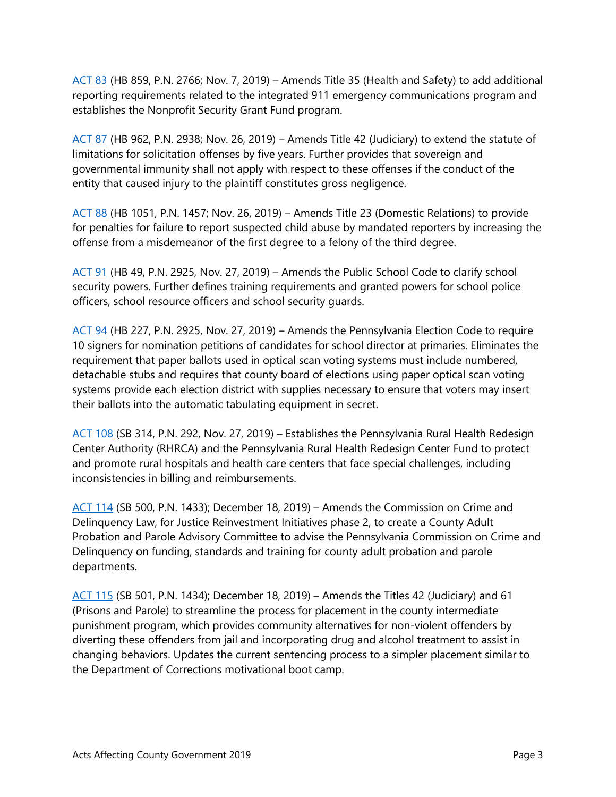[ACT 83](https://www.legis.state.pa.us/cfdocs/billInfo/billInfo.cfm?sYear=2019&sInd=0&body=H&type=B&bn=0859) (HB 859, P.N. 2766; Nov. 7, 2019) – Amends Title 35 (Health and Safety) to add additional reporting requirements related to the integrated 911 emergency communications program and establishes the Nonprofit Security Grant Fund program.

[ACT 87](https://www.legis.state.pa.us/cfdocs/billInfo/billInfo.cfm?sYear=2019&sInd=0&body=H&type=B&bn=0962) (HB 962, P.N. 2938; Nov. 26, 2019) – Amends Title 42 (Judiciary) to extend the statute of limitations for solicitation offenses by five years. Further provides that sovereign and governmental immunity shall not apply with respect to these offenses if the conduct of the entity that caused injury to the plaintiff constitutes gross negligence.

[ACT 88](https://www.legis.state.pa.us/cfdocs/billInfo/billInfo.cfm?sYear=2019&sInd=0&body=H&type=B&bn=1051) (HB 1051, P.N. 1457; Nov. 26, 2019) – Amends Title 23 (Domestic Relations) to provide for penalties for failure to report suspected child abuse by mandated reporters by increasing the offense from a misdemeanor of the first degree to a felony of the third degree.

[ACT 91](https://www.legis.state.pa.us/cfdocs/billInfo/billInfo.cfm?sYear=2019&sInd=0&body=H&type=B&bn=0049) (HB 49, P.N. 2925, Nov. 27, 2019) – Amends the Public School Code to clarify school security powers. Further defines training requirements and granted powers for school police officers, school resource officers and school security guards.

[ACT 94](https://www.legis.state.pa.us/cfdocs/billInfo/billInfo.cfm?sYear=2019&sInd=0&body=H&type=B&bn=0227) (HB 227, P.N. 2925, Nov. 27, 2019) – Amends the Pennsylvania Election Code to require 10 signers for nomination petitions of candidates for school director at primaries. Eliminates the requirement that paper ballots used in optical scan voting systems must include numbered, detachable stubs and requires that county board of elections using paper optical scan voting systems provide each election district with supplies necessary to ensure that voters may insert their ballots into the automatic tabulating equipment in secret.

[ACT 108](https://www.legis.state.pa.us/cfdocs/billInfo/billInfo.cfm?sYear=2019&sInd=0&body=S&type=B&bn=0314) (SB 314, P.N. 292, Nov. 27, 2019) – Establishes the Pennsylvania Rural Health Redesign Center Authority (RHRCA) and the Pennsylvania Rural Health Redesign Center Fund to protect and promote rural hospitals and health care centers that face special challenges, including inconsistencies in billing and reimbursements.

[ACT 114](https://www.legis.state.pa.us/cfdocs/billInfo/billInfo.cfm?sYear=2019&sInd=0&body=S&type=B&bn=0500) (SB 500, P.N. 1433); December 18, 2019) – Amends the Commission on Crime and Delinquency Law, for Justice Reinvestment Initiatives phase 2, to create a County Adult Probation and Parole Advisory Committee to advise the Pennsylvania Commission on Crime and Delinquency on funding, standards and training for county adult probation and parole departments.

[ACT 115](https://www.legis.state.pa.us/cfdocs/billInfo/billInfo.cfm?sYear=2019&sInd=0&body=S&type=B&bn=0501) (SB 501, P.N. 1434); December 18, 2019) – Amends the Titles 42 (Judiciary) and 61 (Prisons and Parole) to streamline the process for placement in the county intermediate punishment program, which provides community alternatives for non-violent offenders by diverting these offenders from jail and incorporating drug and alcohol treatment to assist in changing behaviors. Updates the current sentencing process to a simpler placement similar to the Department of Corrections motivational boot camp.